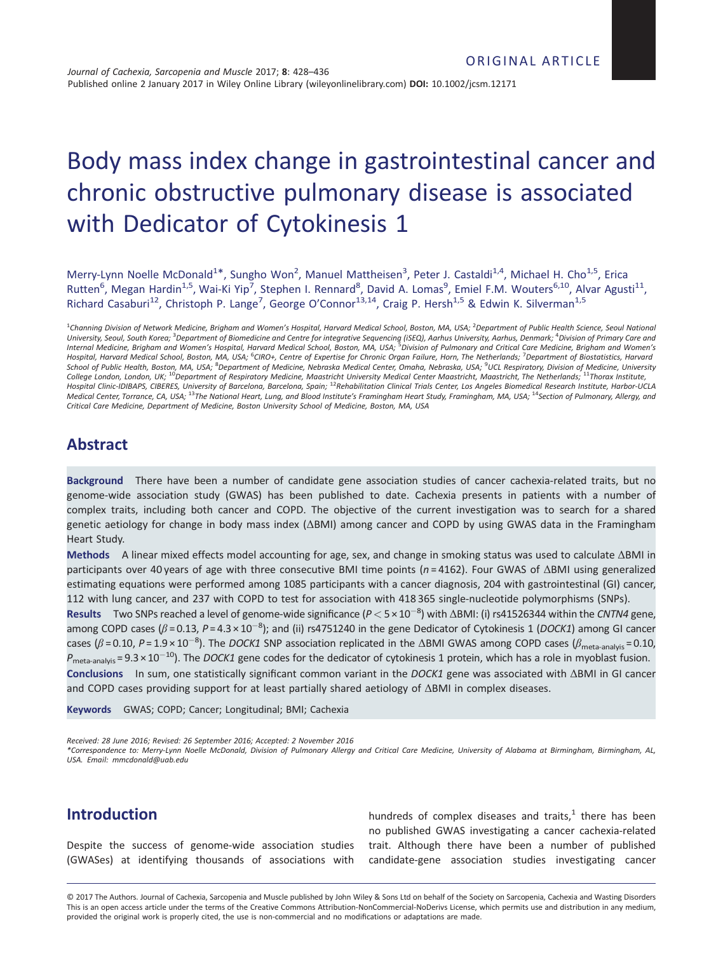# Body mass index change in gastrointestinal cancer and chronic obstructive pulmonary disease is associated with Dedicator of Cytokinesis 1

Merry-Lynn Noelle McDonald<sup>1\*</sup>, Sungho Won<sup>2</sup>, Manuel Mattheisen<sup>3</sup>, Peter J. Castaldi<sup>1,4</sup>, Michael H. Cho<sup>1,5</sup>, Erica Rutten<sup>6</sup>, Megan Hardin<sup>1,5</sup>, Wai-Ki Yip<sup>7</sup>, Stephen I. Rennard<sup>8</sup>, David A. Lomas<sup>9</sup>, Emiel F.M. Wouters<sup>6,10</sup>, Alvar Agusti<sup>11</sup>, Richard Casaburi<sup>12</sup>, Christoph P. Lange<sup>7</sup>, George O'Connor<sup>13,14</sup>, Craig P. Hersh<sup>1,5</sup> & Edwin K. Silverman<sup>1,5</sup>

<sup>1</sup>Channing Division of Network Medicine, Brigham and Women's Hospital, Harvard Medical School, Boston, MA, USA; <sup>2</sup>Department of Public Health Science, Seoul National University, Seoul, South Korea; <sup>3</sup>Department of Biomedicine and Centre for integrative Sequencing (ISEQ), Aarhus University, Aarhus, Denmark; <sup>4</sup>Division of Primary Care and<br>Internal Medicine, Brigham and Women's Hospital Hospital, Harvard Medical School, Boston, MA, USA; <sup>6</sup>CIRO+, Centre of Expertise for Chronic Organ Failure, Horn, The Netherlands; <sup>7</sup>Department of Biostatistics, Harvard School of Public Health, Boston, MA, USA; <sup>8</sup>Department of Medicine, Nebraska Medical Center, Omaha, Nebraska, USA; <sup>9</sup>UCL Respiratory, Division of Medicine, University College London, London, UK; <sup>10</sup>Department of Respiratory Medicine, Maastricht University Medical Center Maastricht, Maastricht, The Netherlands; <sup>11</sup>Thorax Institute,<br>Hospital Clinic-IDIBAPS, CIBERES, University of Barcel Medical Center, Torrance, CA, USA; <sup>13</sup>The National Heart, Lung, and Blood Institute's Framingham Heart Study, Framingham, MA, USA; <sup>14</sup>Section of Pulmonary, Allergy, and Critical Care Medicine, Department of Medicine, Boston University School of Medicine, Boston, MA, USA

## Abstract

Background There have been a number of candidate gene association studies of cancer cachexia-related traits, but no genome-wide association study (GWAS) has been published to date. Cachexia presents in patients with a number of complex traits, including both cancer and COPD. The objective of the current investigation was to search for a shared genetic aetiology for change in body mass index (ΔBMI) among cancer and COPD by using GWAS data in the Framingham Heart Study.

Methods A linear mixed effects model accounting for age, sex, and change in smoking status was used to calculate ΔBMI in participants over 40 years of age with three consecutive BMI time points ( $n = 4162$ ). Four GWAS of  $\triangle$ BMI using generalized estimating equations were performed among 1085 participants with a cancer diagnosis, 204 with gastrointestinal (GI) cancer, 112 with lung cancer, and 237 with COPD to test for association with 418 365 single-nucleotide polymorphisms (SNPs).

**Results** Two SNPs reached a level of genome-wide significance ( $P < 5 \times 10^{-8}$ ) with  $\triangle$ BMI: (i) rs41526344 within the CNTN4 gene, among COPD cases ( $\beta$ =0.13, P=4.3×10<sup>-8</sup>); and (ii) rs4751240 in the gene Dedicator of Cytokinesis 1 (DOCK1) among GI cancer cases ( $\beta$  = 0.10, P = 1.9 × 10<sup>-8</sup>). The *DOCK1* SNP association replicated in the  $\Delta$ BMI GWAS among COPD cases ( $\beta$ <sub>meta-analyis</sub> = 0.10,  $P_{\text{meta-analysis}}$  = 9.3 × 10<sup>-10</sup>). The *DOCK1* gene codes for the dedicator of cytokinesis 1 protein, which has a role in myoblast fusion. Conclusions In sum, one statistically significant common variant in the DOCK1 gene was associated with ΔBMI in GI cancer and COPD cases providing support for at least partially shared aetiology of ΔBMI in complex diseases.

Keywords GWAS; COPD; Cancer; Longitudinal; BMI; Cachexia

Received: 28 June 2016; Revised: 26 September 2016; Accepted: 2 November 2016

\*Correspondence to: Merry-Lynn Noelle McDonald, Division of Pulmonary Allergy and Critical Care Medicine, University of Alabama at Birmingham, Birmingham, AL, USA. Email: mmcdonald@uab.edu

## Introduction

Despite the success of genome-wide association studies (GWASes) at identifying thousands of associations with

hundreds of complex diseases and traits, $1$  there has been no published GWAS investigating a cancer cachexia-related trait. Although there have been a number of published candidate-gene association studies investigating cancer

© 2017 The Authors. Journal of Cachexia, Sarcopenia and Muscle published by John Wiley & Sons Ltd on behalf of the Society on Sarcopenia, Cachexia and Wasting Disorders This is an open access article under the terms of the Creative Commons Attribution-NonCommercial-NoDerivs License, which permits use and distribution in any medium, provided the original work is properly cited, the use is non-commercial and no modifications or adaptations are made.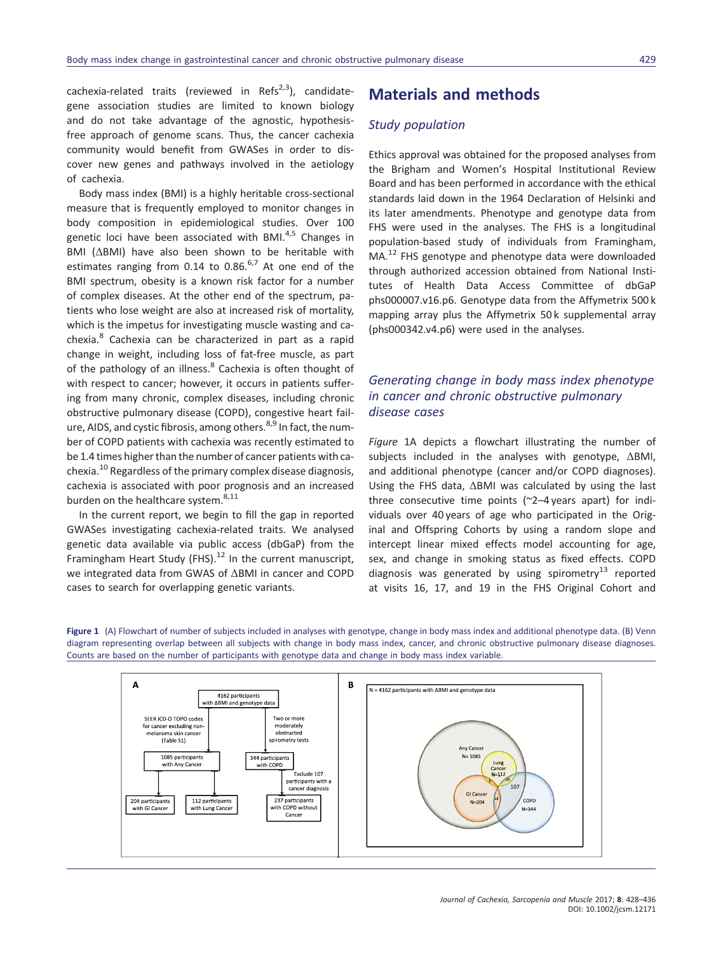cachexia-related traits (reviewed in Refs<sup>2,3</sup>), candidategene association studies are limited to known biology and do not take advantage of the agnostic, hypothesisfree approach of genome scans. Thus, the cancer cachexia community would benefit from GWASes in order to discover new genes and pathways involved in the aetiology of cachexia.

Body mass index (BMI) is a highly heritable cross-sectional measure that is frequently employed to monitor changes in body composition in epidemiological studies. Over 100 genetic loci have been associated with BMI.<sup>4,5</sup> Changes in BMI (ΔBMI) have also been shown to be heritable with estimates ranging from 0.14 to 0.86. $6,7$  At one end of the BMI spectrum, obesity is a known risk factor for a number of complex diseases. At the other end of the spectrum, patients who lose weight are also at increased risk of mortality, which is the impetus for investigating muscle wasting and cachexia.<sup>8</sup> Cachexia can be characterized in part as a rapid change in weight, including loss of fat-free muscle, as part of the pathology of an illness.<sup>8</sup> Cachexia is often thought of with respect to cancer; however, it occurs in patients suffering from many chronic, complex diseases, including chronic obstructive pulmonary disease (COPD), congestive heart failure, AIDS, and cystic fibrosis, among others.<sup>8,9</sup> In fact, the number of COPD patients with cachexia was recently estimated to be 1.4 times higher than the number of cancer patients with cachexia.<sup>10</sup> Regardless of the primary complex disease diagnosis, cachexia is associated with poor prognosis and an increased burden on the healthcare system.<sup>8,11</sup>

In the current report, we begin to fill the gap in reported GWASes investigating cachexia-related traits. We analysed genetic data available via public access (dbGaP) from the Framingham Heart Study (FHS).<sup>12</sup> In the current manuscript, we integrated data from GWAS of ΔBMI in cancer and COPD cases to search for overlapping genetic variants.

## Materials and methods

#### Study population

Ethics approval was obtained for the proposed analyses from the Brigham and Women's Hospital Institutional Review Board and has been performed in accordance with the ethical standards laid down in the 1964 Declaration of Helsinki and its later amendments. Phenotype and genotype data from FHS were used in the analyses. The FHS is a longitudinal population-based study of individuals from Framingham, MA.<sup>12</sup> FHS genotype and phenotype data were downloaded through authorized accession obtained from National Institutes of Health Data Access Committee of dbGaP phs000007.v16.p6. Genotype data from the Affymetrix 500 k mapping array plus the Affymetrix 50 k supplemental array (phs000342.v4.p6) were used in the analyses.

#### Generating change in body mass index phenotype in cancer and chronic obstructive pulmonary disease cases

Figure 1A depicts a flowchart illustrating the number of subjects included in the analyses with genotype, ΔBMI, and additional phenotype (cancer and/or COPD diagnoses). Using the FHS data, ΔBMI was calculated by using the last three consecutive time points (~2–4 years apart) for individuals over 40 years of age who participated in the Original and Offspring Cohorts by using a random slope and intercept linear mixed effects model accounting for age, sex, and change in smoking status as fixed effects. COPD diagnosis was generated by using spirometry<sup>13</sup> reported at visits 16, 17, and 19 in the FHS Original Cohort and

Figure 1 (A) Flowchart of number of subjects included in analyses with genotype, change in body mass index and additional phenotype data. (B) Venn diagram representing overlap between all subjects with change in body mass index, cancer, and chronic obstructive pulmonary disease diagnoses. Counts are based on the number of participants with genotype data and change in body mass index variable.

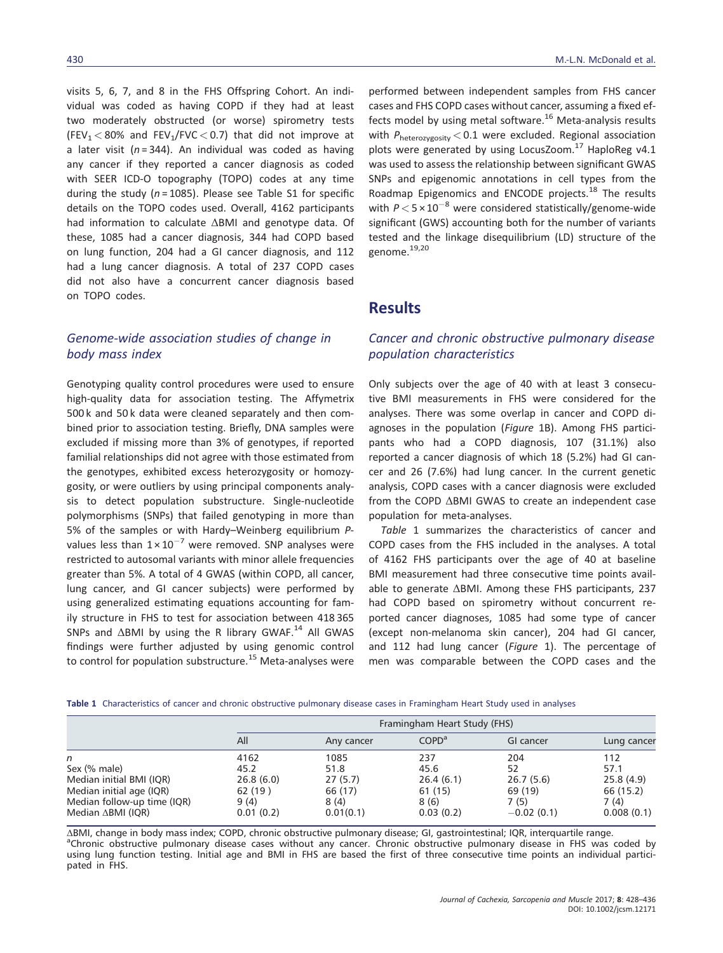visits 5, 6, 7, and 8 in the FHS Offspring Cohort. An individual was coded as having COPD if they had at least two moderately obstructed (or worse) spirometry tests (FEV<sub>1</sub>  $<$  80% and FEV<sub>1</sub>/FVC  $<$  0.7) that did not improve at a later visit ( $n = 344$ ). An individual was coded as having any cancer if they reported a cancer diagnosis as coded with SEER ICD-O topography (TOPO) codes at any time during the study ( $n = 1085$ ). Please see Table S1 for specific details on the TOPO codes used. Overall, 4162 participants had information to calculate ΔBMI and genotype data. Of these, 1085 had a cancer diagnosis, 344 had COPD based on lung function, 204 had a GI cancer diagnosis, and 112 had a lung cancer diagnosis. A total of 237 COPD cases did not also have a concurrent cancer diagnosis based on TOPO codes.

#### Genome-wide association studies of change in body mass index

Genotyping quality control procedures were used to ensure high-quality data for association testing. The Affymetrix 500 k and 50 k data were cleaned separately and then combined prior to association testing. Briefly, DNA samples were excluded if missing more than 3% of genotypes, if reported familial relationships did not agree with those estimated from the genotypes, exhibited excess heterozygosity or homozygosity, or were outliers by using principal components analysis to detect population substructure. Single-nucleotide polymorphisms (SNPs) that failed genotyping in more than 5% of the samples or with Hardy–Weinberg equilibrium Pvalues less than  $1 \times 10^{-7}$  were removed. SNP analyses were restricted to autosomal variants with minor allele frequencies greater than 5%. A total of 4 GWAS (within COPD, all cancer, lung cancer, and GI cancer subjects) were performed by using generalized estimating equations accounting for family structure in FHS to test for association between 418 365 SNPs and ΔBMI by using the R library GWAF.<sup>14</sup> All GWAS findings were further adjusted by using genomic control to control for population substructure.<sup>15</sup> Meta-analyses were

performed between independent samples from FHS cancer cases and FHS COPD cases without cancer, assuming a fixed effects model by using metal software.<sup>16</sup> Meta-analysis results with  $P_{heterozygosity} < 0.1$  were excluded. Regional association plots were generated by using LocusZoom.<sup>17</sup> HaploReg v4.1 was used to assess the relationship between significant GWAS SNPs and epigenomic annotations in cell types from the Roadmap Epigenomics and ENCODE projects.<sup>18</sup> The results with  $P < 5 \times 10^{-8}$  were considered statistically/genome-wide significant (GWS) accounting both for the number of variants tested and the linkage disequilibrium (LD) structure of the genome.<sup>19,20</sup>

#### **Results**

#### Cancer and chronic obstructive pulmonary disease population characteristics

Only subjects over the age of 40 with at least 3 consecutive BMI measurements in FHS were considered for the analyses. There was some overlap in cancer and COPD diagnoses in the population (Figure 1B). Among FHS participants who had a COPD diagnosis, 107 (31.1%) also reported a cancer diagnosis of which 18 (5.2%) had GI cancer and 26 (7.6%) had lung cancer. In the current genetic analysis, COPD cases with a cancer diagnosis were excluded from the COPD ΔBMI GWAS to create an independent case population for meta-analyses.

Table 1 summarizes the characteristics of cancer and COPD cases from the FHS included in the analyses. A total of 4162 FHS participants over the age of 40 at baseline BMI measurement had three consecutive time points available to generate ΔBMI. Among these FHS participants, 237 had COPD based on spirometry without concurrent reported cancer diagnoses, 1085 had some type of cancer (except non-melanoma skin cancer), 204 had GI cancer, and 112 had lung cancer (Figure 1). The percentage of men was comparable between the COPD cases and the

|  | Table 1 Characteristics of cancer and chronic obstructive pulmonary disease cases in Framingham Heart Study used in analyses |  |  |  |  |  |  |
|--|------------------------------------------------------------------------------------------------------------------------------|--|--|--|--|--|--|
|--|------------------------------------------------------------------------------------------------------------------------------|--|--|--|--|--|--|

|                              |           | Framingham Heart Study (FHS) |                   |              |             |  |  |  |  |
|------------------------------|-----------|------------------------------|-------------------|--------------|-------------|--|--|--|--|
|                              | All       | Any cancer                   | COPD <sup>a</sup> | GI cancer    | Lung cancer |  |  |  |  |
| n                            | 4162      | 1085                         | 237               | 204          | 112         |  |  |  |  |
| Sex (% male)                 | 45.2      | 51.8                         | 45.6              | 52           | 57.1        |  |  |  |  |
| Median initial BMI (IQR)     | 26.8(6.0) | 27(5.7)                      | 26.4(6.1)         | 26.7(5.6)    | 25.8(4.9)   |  |  |  |  |
| Median initial age (IQR)     | 62 (19)   | 66 (17)                      | 61 (15)           | 69 (19)      | 66 (15.2)   |  |  |  |  |
| Median follow-up time (IQR)  | 9(4)      | 8(4)                         | 8(6)              | 7(5)         | 7(4)        |  |  |  |  |
| Median $\triangle$ BMI (IQR) | 0.01(0.2) | 0.01(0.1)                    | 0.03(0.2)         | $-0.02(0.1)$ | 0.008(0.1)  |  |  |  |  |

ΔBMI, change in body mass index; COPD, chronic obstructive pulmonary disease; GI, gastrointestinal; IQR, interquartile range. a Chronic obstructive pulmonary disease cases without any cancer. Chronic obstructive pulmonary disease in FHS was coded by using lung function testing. Initial age and BMI in FHS are based the first of three consecutive time points an individual participated in FHS.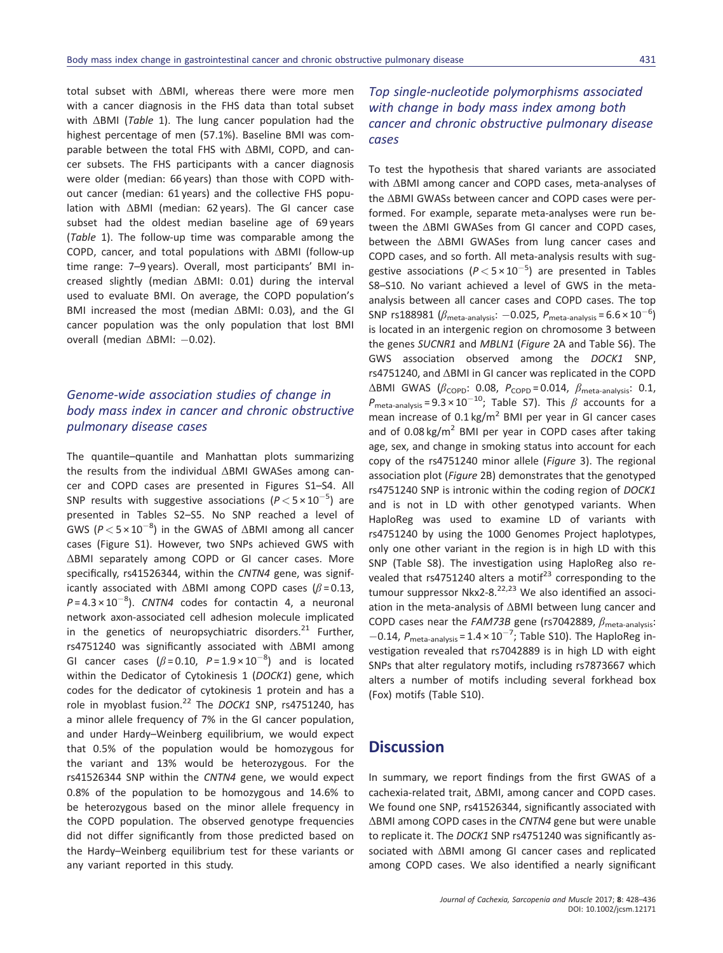total subset with ΔBMI, whereas there were more men with a cancer diagnosis in the FHS data than total subset with ΔBMI (Table 1). The lung cancer population had the highest percentage of men (57.1%). Baseline BMI was comparable between the total FHS with ΔBMI, COPD, and cancer subsets. The FHS participants with a cancer diagnosis were older (median: 66 years) than those with COPD without cancer (median: 61 years) and the collective FHS population with ΔBMI (median: 62 years). The GI cancer case subset had the oldest median baseline age of 69 years (Table 1). The follow-up time was comparable among the COPD, cancer, and total populations with ΔBMI (follow-up time range: 7–9 years). Overall, most participants' BMI increased slightly (median ΔBMI: 0.01) during the interval used to evaluate BMI. On average, the COPD population's BMI increased the most (median ΔBMI: 0.03), and the GI cancer population was the only population that lost BMI overall (median ΔBMI: - 0.02).

#### Genome-wide association studies of change in body mass index in cancer and chronic obstructive pulmonary disease cases

The quantile–quantile and Manhattan plots summarizing the results from the individual ΔBMI GWASes among cancer and COPD cases are presented in Figures S1–S4. All SNP results with suggestive associations  $(P < 5 \times 10^{-5})$  are presented in Tables S2–S5. No SNP reached a level of GWS ( $P < 5 \times 10^{-8}$ ) in the GWAS of  $\Delta$ BMI among all cancer cases (Figure S1). However, two SNPs achieved GWS with ΔBMI separately among COPD or GI cancer cases. More specifically, rs41526344, within the CNTN4 gene, was significantly associated with  $\triangle$ BMI among COPD cases ( $\beta$  = 0.13,  $P = 4.3 \times 10^{-8}$ ). CNTN4 codes for contactin 4, a neuronal network axon-associated cell adhesion molecule implicated in the genetics of neuropsychiatric disorders. $21$  Further, rs4751240 was significantly associated with ΔBMI among GI cancer cases ( $\beta$ =0.10,  $P = 1.9 \times 10^{-8}$ ) and is located within the Dedicator of Cytokinesis 1 (DOCK1) gene, which codes for the dedicator of cytokinesis 1 protein and has a role in myoblast fusion.<sup>22</sup> The *DOCK1* SNP, rs4751240, has a minor allele frequency of 7% in the GI cancer population, and under Hardy–Weinberg equilibrium, we would expect that 0.5% of the population would be homozygous for the variant and 13% would be heterozygous. For the rs41526344 SNP within the CNTN4 gene, we would expect 0.8% of the population to be homozygous and 14.6% to be heterozygous based on the minor allele frequency in the COPD population. The observed genotype frequencies did not differ significantly from those predicted based on the Hardy–Weinberg equilibrium test for these variants or any variant reported in this study.

#### Top single-nucleotide polymorphisms associated with change in body mass index among both cancer and chronic obstructive pulmonary disease cases

To test the hypothesis that shared variants are associated with ΔBMI among cancer and COPD cases, meta-analyses of the ΔBMI GWASs between cancer and COPD cases were performed. For example, separate meta-analyses were run between the ΔBMI GWASes from GI cancer and COPD cases, between the ΔBMI GWASes from lung cancer cases and COPD cases, and so forth. All meta-analysis results with suggestive associations ( $P < 5 \times 10^{-5}$ ) are presented in Tables S8–S10. No variant achieved a level of GWS in the metaanalysis between all cancer cases and COPD cases. The top SNP rs188981  $(\beta_{\text{meta-analysis}}: -0.025, P_{\text{meta-analysis}} = 6.6 \times 10^{-6})$ is located in an intergenic region on chromosome 3 between the genes SUCNR1 and MBLN1 (Figure 2A and Table S6). The GWS association observed among the DOCK1 SNP, rs4751240, and ΔBMI in GI cancer was replicated in the COPD  $\triangle$ BMI GWAS ( $\beta$ <sub>COPD</sub>: 0.08,  $P_{\text{COPD}}$  = 0.014,  $\beta$ <sub>meta-analysis</sub>: 0.1,  $P_{\text{meta-analysis}} = 9.3 \times 10^{-10}$ ; Table S7). This  $\beta$  accounts for a mean increase of  $0.1 \text{ kg/m}^2$  BMI per year in GI cancer cases and of 0.08 kg/m<sup>2</sup> BMI per year in COPD cases after taking age, sex, and change in smoking status into account for each copy of the rs4751240 minor allele (Figure 3). The regional association plot (Figure 2B) demonstrates that the genotyped rs4751240 SNP is intronic within the coding region of DOCK1 and is not in LD with other genotyped variants. When HaploReg was used to examine LD of variants with rs4751240 by using the 1000 Genomes Project haplotypes, only one other variant in the region is in high LD with this SNP (Table S8). The investigation using HaploReg also revealed that rs4751240 alters a motif<sup>23</sup> corresponding to the tumour suppressor Nkx2-8. $^{22,23}$  We also identified an association in the meta-analysis of ΔBMI between lung cancer and COPD cases near the FAM73B gene (rs7042889,  $\beta_{\text{meta-analysis}}$ :  $-0.14$ ,  $P_{\text{meta-analysis}} = 1.4 \times 10^{-7}$ ; Table S10). The HaploReg investigation revealed that rs7042889 is in high LD with eight SNPs that alter regulatory motifs, including rs7873667 which alters a number of motifs including several forkhead box (Fox) motifs (Table S10).

#### **Discussion**

In summary, we report findings from the first GWAS of a cachexia-related trait, ΔBMI, among cancer and COPD cases. We found one SNP, rs41526344, significantly associated with ΔBMI among COPD cases in the CNTN4 gene but were unable to replicate it. The DOCK1 SNP rs4751240 was significantly associated with ΔBMI among GI cancer cases and replicated among COPD cases. We also identified a nearly significant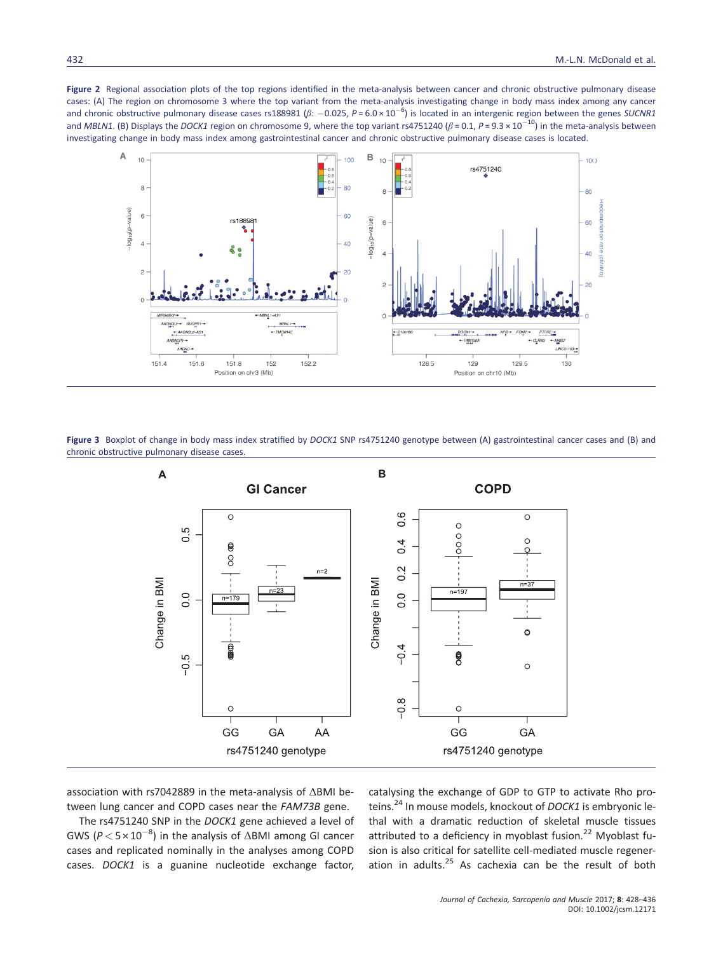Figure 2 Regional association plots of the top regions identified in the meta-analysis between cancer and chronic obstructive pulmonary disease cases: (A) The region on chromosome 3 where the top variant from the meta-analysis investigating change in body mass index among any cancer and chronic obstructive pulmonary disease cases rs188981 ( $\beta$ : -0.025, P = 6.0 × 10<sup>-6</sup>) is located in an intergenic region between the genes SUCNR1 and MBLN1. (B) Displays the DOCK1 region on chromosome 9, where the top variant rs4751240 ( $\beta$  = 0.1, P = 9.3 × 10<sup>-10</sup>) in the meta-analysis between investigating change in body mass index among gastrointestinal cancer and chronic obstructive pulmonary disease cases is located.



Figure 3 Boxplot of change in body mass index stratified by DOCK1 SNP rs4751240 genotype between (A) gastrointestinal cancer cases and (B) and chronic obstructive pulmonary disease cases.



association with rs7042889 in the meta-analysis of ΔBMI between lung cancer and COPD cases near the FAM73B gene.

The rs4751240 SNP in the DOCK1 gene achieved a level of GWS ( $P < 5 \times 10^{-8}$ ) in the analysis of  $\Delta$ BMI among GI cancer cases and replicated nominally in the analyses among COPD cases. DOCK1 is a guanine nucleotide exchange factor, catalysing the exchange of GDP to GTP to activate Rho proteins.<sup>24</sup> In mouse models, knockout of DOCK1 is embryonic lethal with a dramatic reduction of skeletal muscle tissues attributed to a deficiency in myoblast fusion.<sup>22</sup> Myoblast fusion is also critical for satellite cell-mediated muscle regeneration in adults. $25$  As cachexia can be the result of both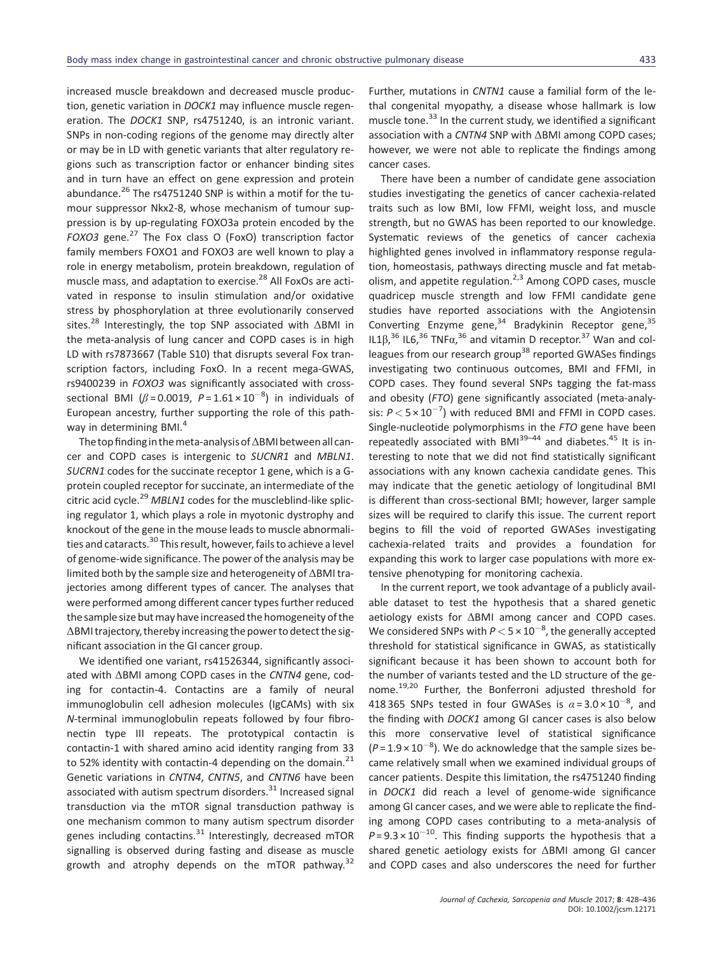increased muscle breakdown and decreased muscle production, genetic variation in DOCK1 may influence muscle regeneration. The DOCK1 SNP, rs4751240, is an intronic variant. SNPs in non-coding regions of the genome may directly alter or may be in LD with genetic variants that alter regulatory regions such as transcription factor or enhancer binding sites and in turn have an effect on gene expression and protein abundance. $^{26}$  The rs4751240 SNP is within a motif for the tumour suppressor Nkx2-8, whose mechanism of tumour suppression is by up-regulating FOXO3a protein encoded by the FOXO3 gene.<sup>27</sup> The Fox class O (FoxO) transcription factor family members FOXO1 and FOXO3 are well known to play a role in energy metabolism, protein breakdown, regulation of muscle mass, and adaptation to exercise.<sup>28</sup> All FoxOs are activated in response to insulin stimulation and/or oxidative stress by phosphorylation at three evolutionarily conserved sites.28 Interestingly, the top SNP associated with ΔBMI in the meta-analysis of lung cancer and COPD cases is in high LD with rs7873667 (Table S10) that disrupts several Fox transcription factors, including FoxO. In a recent mega-GWAS, rs9400239 in FOXO3 was significantly associated with crosssectional BMI ( $\beta$ =0.0019,  $P = 1.61 \times 10^{-8}$ ) in individuals of European ancestry, further supporting the role of this pathway in determining BMI.<sup>4</sup>

The top finding in the meta-analysis of ΔBMI between all cancer and COPD cases is intergenic to SUCNR1 and MBLN1. SUCRN1 codes for the succinate receptor 1 gene, which is a Gprotein coupled receptor for succinate, an intermediate of the citric acid cycle.<sup>29</sup> MBLN1 codes for the muscleblind-like splicing regulator 1, which plays a role in myotonic dystrophy and knockout of the gene in the mouse leads to muscle abnormalities and cataracts.<sup>30</sup> This result, however, fails to achieve a level of genome-wide significance. The power of the analysis may be limited both by the sample size and heterogeneity of ΔBMI trajectories among different types of cancer. The analyses that were performed among different cancer types further reduced the sample size but may have increased the homogeneity of the ΔBMI trajectory, thereby increasing the power to detect the significant association in the GI cancer group.

We identified one variant, rs41526344, significantly associated with ΔBMI among COPD cases in the CNTN4 gene, coding for contactin-4. Contactins are a family of neural immunoglobulin cell adhesion molecules (IgCAMs) with six N-terminal immunoglobulin repeats followed by four fibronectin type III repeats. The prototypical contactin is contactin-1 with shared amino acid identity ranging from 33 to 52% identity with contactin-4 depending on the domain. $21$ Genetic variations in CNTN4, CNTN5, and CNTN6 have been associated with autism spectrum disorders.<sup>31</sup> Increased signal transduction via the mTOR signal transduction pathway is one mechanism common to many autism spectrum disorder genes including contactins. $31$  Interestingly, decreased mTOR signalling is observed during fasting and disease as muscle growth and atrophy depends on the mTOR pathway.<sup>32</sup>

Further, mutations in CNTN1 cause a familial form of the lethal congenital myopathy, a disease whose hallmark is low muscle tone.<sup>33</sup> In the current study, we identified a significant association with a CNTN4 SNP with ΔBMI among COPD cases; however, we were not able to replicate the findings among cancer cases.

There have been a number of candidate gene association studies investigating the genetics of cancer cachexia-related traits such as low BMI, low FFMI, weight loss, and muscle strength, but no GWAS has been reported to our knowledge. Systematic reviews of the genetics of cancer cachexia highlighted genes involved in inflammatory response regulation, homeostasis, pathways directing muscle and fat metabolism, and appetite regulation.<sup>2,3</sup> Among COPD cases, muscle quadricep muscle strength and low FFMI candidate gene studies have reported associations with the Angiotensin Converting Enzyme gene,<sup>34</sup> Bradykinin Receptor gene,<sup>35</sup> IL1β,<sup>36</sup> IL6,<sup>36</sup> TNFα,<sup>36</sup> and vitamin D receptor.<sup>37</sup> Wan and colleagues from our research group<sup>38</sup> reported GWASes findings investigating two continuous outcomes, BMI and FFMI, in COPD cases. They found several SNPs tagging the fat-mass and obesity (FTO) gene significantly associated (meta-analysis:  $P < 5 \times 10^{-7}$ ) with reduced BMI and FFMI in COPD cases. Single-nucleotide polymorphisms in the FTO gene have been repeatedly associated with BMI $^{39-44}$  and diabetes.<sup>45</sup> It is interesting to note that we did not find statistically significant associations with any known cachexia candidate genes. This may indicate that the genetic aetiology of longitudinal BMI is different than cross-sectional BMI; however, larger sample sizes will be required to clarify this issue. The current report begins to fill the void of reported GWASes investigating cachexia-related traits and provides a foundation for expanding this work to larger case populations with more extensive phenotyping for monitoring cachexia.

In the current report, we took advantage of a publicly available dataset to test the hypothesis that a shared genetic aetiology exists for ΔBMI among cancer and COPD cases. We considered SNPs with  $P$   $<$  5  $\times$  10<sup> $-8$ </sup>, the generally accepted threshold for statistical significance in GWAS, as statistically significant because it has been shown to account both for the number of variants tested and the LD structure of the genome.<sup>19,20</sup> Further, the Bonferroni adjusted threshold for 418 365 SNPs tested in four GWASes is  $\alpha = 3.0 \times 10^{-8}$ , and the finding with DOCK1 among GI cancer cases is also below this more conservative level of statistical significance  $(P = 1.9 \times 10^{-8})$ . We do acknowledge that the sample sizes became relatively small when we examined individual groups of cancer patients. Despite this limitation, the rs4751240 finding in DOCK1 did reach a level of genome-wide significance among GI cancer cases, and we were able to replicate the finding among COPD cases contributing to a meta-analysis of  $P = 9.3 \times 10^{-10}$ . This finding supports the hypothesis that a shared genetic aetiology exists for ΔBMI among GI cancer and COPD cases and also underscores the need for further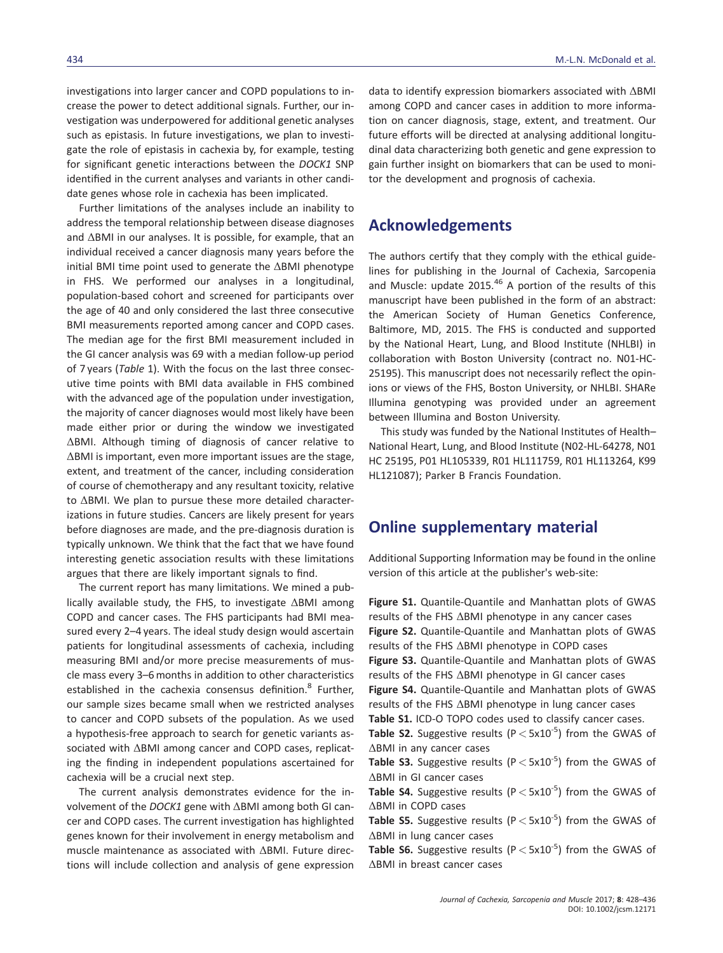investigations into larger cancer and COPD populations to increase the power to detect additional signals. Further, our investigation was underpowered for additional genetic analyses such as epistasis. In future investigations, we plan to investigate the role of epistasis in cachexia by, for example, testing for significant genetic interactions between the DOCK1 SNP identified in the current analyses and variants in other candidate genes whose role in cachexia has been implicated.

Further limitations of the analyses include an inability to address the temporal relationship between disease diagnoses and ΔBMI in our analyses. It is possible, for example, that an individual received a cancer diagnosis many years before the initial BMI time point used to generate the ΔBMI phenotype in FHS. We performed our analyses in a longitudinal, population-based cohort and screened for participants over the age of 40 and only considered the last three consecutive BMI measurements reported among cancer and COPD cases. The median age for the first BMI measurement included in the GI cancer analysis was 69 with a median follow-up period of 7 years (Table 1). With the focus on the last three consecutive time points with BMI data available in FHS combined with the advanced age of the population under investigation, the majority of cancer diagnoses would most likely have been made either prior or during the window we investigated ΔBMI. Although timing of diagnosis of cancer relative to ΔBMI is important, even more important issues are the stage, extent, and treatment of the cancer, including consideration of course of chemotherapy and any resultant toxicity, relative to ΔBMI. We plan to pursue these more detailed characterizations in future studies. Cancers are likely present for years before diagnoses are made, and the pre-diagnosis duration is typically unknown. We think that the fact that we have found interesting genetic association results with these limitations argues that there are likely important signals to find.

The current report has many limitations. We mined a publically available study, the FHS, to investigate ΔBMI among COPD and cancer cases. The FHS participants had BMI measured every 2–4 years. The ideal study design would ascertain patients for longitudinal assessments of cachexia, including measuring BMI and/or more precise measurements of muscle mass every 3–6 months in addition to other characteristics established in the cachexia consensus definition.<sup>8</sup> Further, our sample sizes became small when we restricted analyses to cancer and COPD subsets of the population. As we used a hypothesis-free approach to search for genetic variants associated with ΔBMI among cancer and COPD cases, replicating the finding in independent populations ascertained for cachexia will be a crucial next step.

The current analysis demonstrates evidence for the involvement of the DOCK1 gene with ΔBMI among both GI cancer and COPD cases. The current investigation has highlighted genes known for their involvement in energy metabolism and muscle maintenance as associated with ΔBMI. Future directions will include collection and analysis of gene expression

data to identify expression biomarkers associated with ΔBMI among COPD and cancer cases in addition to more information on cancer diagnosis, stage, extent, and treatment. Our future efforts will be directed at analysing additional longitudinal data characterizing both genetic and gene expression to gain further insight on biomarkers that can be used to monitor the development and prognosis of cachexia.

#### Acknowledgements

The authors certify that they comply with the ethical guidelines for publishing in the Journal of Cachexia, Sarcopenia and Muscle: update  $2015^{46}$  A portion of the results of this manuscript have been published in the form of an abstract: the American Society of Human Genetics Conference, Baltimore, MD, 2015. The FHS is conducted and supported by the National Heart, Lung, and Blood Institute (NHLBI) in collaboration with Boston University (contract no. N01-HC-25195). This manuscript does not necessarily reflect the opinions or views of the FHS, Boston University, or NHLBI. SHARe Illumina genotyping was provided under an agreement between Illumina and Boston University.

This study was funded by the National Institutes of Health– National Heart, Lung, and Blood Institute (N02-HL-64278, N01 HC 25195, P01 HL105339, R01 HL111759, R01 HL113264, K99 HL121087); Parker B Francis Foundation.

#### Online supplementary material

Additional Supporting Information may be found in the online version of this article at the publisher's web-site:

Figure S1. Quantile-Quantile and Manhattan plots of GWAS results of the FHS ΔBMI phenotype in any cancer cases Figure S2. Quantile-Quantile and Manhattan plots of GWAS results of the FHS ΔBMI phenotype in COPD cases Figure S3. Quantile-Quantile and Manhattan plots of GWAS results of the FHS ΔBMI phenotype in GI cancer cases Figure S4. Quantile-Quantile and Manhattan plots of GWAS results of the FHS ΔBMI phenotype in lung cancer cases Table S1. ICD-O TOPO codes used to classify cancer cases. Table S2. Suggestive results ( $P < 5x10^{-5}$ ) from the GWAS of ΔBMI in any cancer cases **Table S3.** Suggestive results ( $P < 5x10^{-5}$ ) from the GWAS of ΔBMI in GI cancer cases Table S4. Suggestive results ( $P < 5x10^{-5}$ ) from the GWAS of ΔBMI in COPD cases Table S5. Suggestive results ( $P <$  5x10<sup>-5</sup>) from the GWAS of ΔBMI in lung cancer cases

**Table S6.** Suggestive results ( $P < 5x10^{-5}$ ) from the GWAS of ΔBMI in breast cancer cases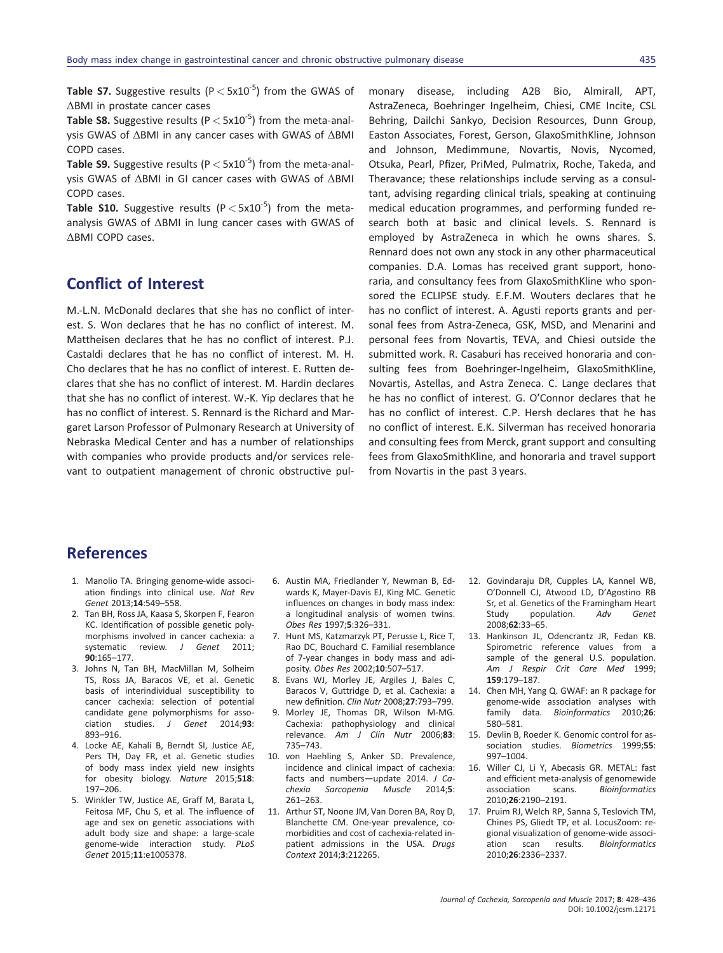**Table S7.** Suggestive results ( $P < 5x10^{-5}$ ) from the GWAS of ΔBMI in prostate cancer cases

**Table S8.** Suggestive results ( $P < 5x10^{-5}$ ) from the meta-analysis GWAS of ΔBMI in any cancer cases with GWAS of ΔBMI COPD cases.

Table S9. Suggestive results ( $P < 5x10^{-5}$ ) from the meta-analysis GWAS of ΔBMI in GI cancer cases with GWAS of ΔBMI COPD cases.

Table S10. Suggestive results ( $P < 5x10^{-5}$ ) from the metaanalysis GWAS of ΔBMI in lung cancer cases with GWAS of ΔBMI COPD cases.

### Conflict of Interest

M.-L.N. McDonald declares that she has no conflict of interest. S. Won declares that he has no conflict of interest. M. Mattheisen declares that he has no conflict of interest. P.J. Castaldi declares that he has no conflict of interest. M. H. Cho declares that he has no conflict of interest. E. Rutten declares that she has no conflict of interest. M. Hardin declares that she has no conflict of interest. W.-K. Yip declares that he has no conflict of interest. S. Rennard is the Richard and Margaret Larson Professor of Pulmonary Research at University of Nebraska Medical Center and has a number of relationships with companies who provide products and/or services relevant to outpatient management of chronic obstructive pul-

monary disease, including A2B Bio, Almirall, APT, AstraZeneca, Boehringer Ingelheim, Chiesi, CME Incite, CSL Behring, Dailchi Sankyo, Decision Resources, Dunn Group, Easton Associates, Forest, Gerson, GlaxoSmithKline, Johnson and Johnson, Medimmune, Novartis, Novis, Nycomed, Otsuka, Pearl, Pfizer, PriMed, Pulmatrix, Roche, Takeda, and Theravance; these relationships include serving as a consultant, advising regarding clinical trials, speaking at continuing medical education programmes, and performing funded research both at basic and clinical levels. S. Rennard is employed by AstraZeneca in which he owns shares. S. Rennard does not own any stock in any other pharmaceutical companies. D.A. Lomas has received grant support, honoraria, and consultancy fees from GlaxoSmithKline who sponsored the ECLIPSE study. E.F.M. Wouters declares that he has no conflict of interest. A. Agusti reports grants and personal fees from Astra-Zeneca, GSK, MSD, and Menarini and personal fees from Novartis, TEVA, and Chiesi outside the submitted work. R. Casaburi has received honoraria and consulting fees from Boehringer-Ingelheim, GlaxoSmithKline, Novartis, Astellas, and Astra Zeneca. C. Lange declares that he has no conflict of interest. G. O'Connor declares that he has no conflict of interest. C.P. Hersh declares that he has no conflict of interest. E.K. Silverman has received honoraria and consulting fees from Merck, grant support and consulting fees from GlaxoSmithKline, and honoraria and travel support from Novartis in the past 3 years.

#### References

- 1. Manolio TA. Bringing genome-wide association findings into clinical use. Nat Rev Genet 2013;14:549–558.
- 2. Tan BH, Ross JA, Kaasa S, Skorpen F, Fearon KC. Identification of possible genetic polymorphisms involved in cancer cachexia: a systematic review. J Genet 2011; 90:165–177.
- 3. Johns N, Tan BH, MacMillan M, Solheim TS, Ross JA, Baracos VE, et al. Genetic basis of interindividual susceptibility to cancer cachexia: selection of potential candidate gene polymorphisms for association studies. J Genet 2014;93: 893–916.
- 4. Locke AE, Kahali B, Berndt SI, Justice AE, Pers TH, Day FR, et al. Genetic studies of body mass index yield new insights for obesity biology. Nature 2015;518: 197–206.
- 5. Winkler TW, Justice AE, Graff M, Barata L, Feitosa MF, Chu S, et al. The influence of age and sex on genetic associations with adult body size and shape: a large-scale genome-wide interaction study. PLoS Genet 2015;11:e1005378.
- 6. Austin MA, Friedlander Y, Newman B, Edwards K, Mayer-Davis EJ, King MC. Genetic influences on changes in body mass index: a longitudinal analysis of women twins. Obes Res 1997;5:326–331.
- 7. Hunt MS, Katzmarzyk PT, Perusse L, Rice T, Rao DC, Bouchard C. Familial resemblance of 7-year changes in body mass and adiposity. Obes Res 2002;10:507–517.
- 8. Evans WJ, Morley JE, Argiles J, Bales C, Baracos V, Guttridge D, et al. Cachexia: a new definition. Clin Nutr 2008;27:793–799.
- 9. Morley JE, Thomas DR, Wilson M-MG. Cachexia: pathophysiology and clinical relevance. Am J Clin Nutr 2006;83: 735–743.
- 10. von Haehling S, Anker SD. Prevalence, incidence and clinical impact of cachexia: facts and numbers—update 2014. J Cachexia Sarcopenia Muscle 2014;5: 261–263.
- 11. Arthur ST, Noone JM, Van Doren BA, Roy D, Blanchette CM. One-year prevalence, comorbidities and cost of cachexia-related inpatient admissions in the USA. Drugs Context 2014;3:212265.
- 12. Govindaraju DR, Cupples LA, Kannel WB, O'Donnell CJ, Atwood LD, D'Agostino RB Sr, et al. Genetics of the Framingham Heart Study population. Adv Genet 2008;62:33–65.
- 13. Hankinson JL, Odencrantz JR, Fedan KB. Spirometric reference values from a sample of the general U.S. population. Am J Respir Crit Care Med 1999; 159:179–187.
- 14. Chen MH, Yang Q. GWAF: an R package for genome-wide association analyses with family data. Bioinformatics 2010;26: 580–581.
- 15. Devlin B, Roeder K. Genomic control for association studies. Biometrics 1999;55: 997–1004.
- 16. Willer CJ, Li Y, Abecasis GR. METAL: fast and efficient meta-analysis of genomewide association scans. Bioinformatics 2010;26:2190–2191.
- 17. Pruim RJ, Welch RP, Sanna S, Teslovich TM, Chines PS, Gliedt TP, et al. LocusZoom: regional visualization of genome-wide association scan results. Bioinformatics 2010;26:2336–2337.